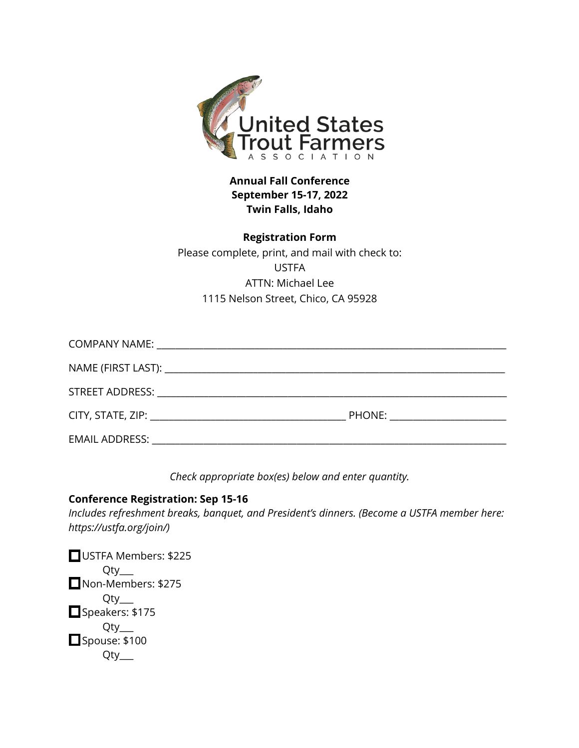

**Annual Fall Conference September 15-17, 2022 Twin Falls, Idaho**

**Registration Form** Please complete, print, and mail with check to: USTFA ATTN: Michael Lee 1115 Nelson Street, Chico, CA 95928

| PHONE: New York PHONE |
|-----------------------|
|                       |

*Check appropriate box(es) below and enter quantity.*

#### **Conference Registration: Sep 15-16**

*Includes refreshment breaks, banquet, and President's dinners. (Become a USTFA member here: https://ustfa.org/join/)*

USTFA Members: \$225 Qty\_\_\_ Non-Members: \$275 Qty\_\_\_ Speakers: \$175 Qty\_\_\_ Spouse: \$100 Qty\_\_\_